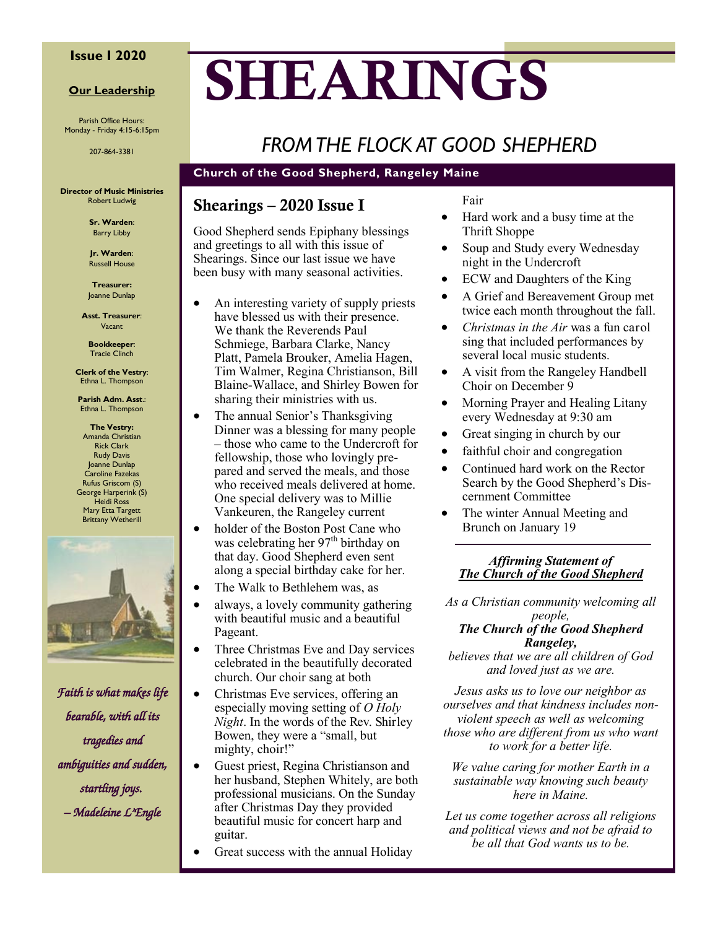#### **Issue I 2020**

#### **Our Leadership**

Parish Office Hours: Monday - Friday 4:15-6:15pm

207-864-3381

**Director of Music Ministries** Robert Ludwig

> **Sr. Warden**: Barry Libby

**Jr. Warden**: Russell House

**Treasurer:** Joanne Dunlap

**Asst. Treasurer**: Vacant

**Bookkeeper**: Tracie Clinch

**Clerk of the Vestry**: Ethna L. Thompson

**Parish Adm. Asst**.: Ethna L. Thompson

**The Vestry:** Amanda Christian Rick Clark Rudy Davis Joanne Dunlap Caroline Fazekas Rufus Griscom (S) George Harperink (S) Heidi Ross Mary Etta Targett Brittany Wetherill



*Faith is what makes life bearable, with all its tragedies and ambiguities and sudden, startling joys. – Madeleine L'Engle* 

# **SHEARINGS**

# *FROM THE FLOCK AT GOOD SHEPHERD*

#### **Church of the Good Shepherd, Rangeley Maine**

### **Shearings – 2020 Issue I**

Good Shepherd sends Epiphany blessings and greetings to all with this issue of Shearings. Since our last issue we have been busy with many seasonal activities.

- An interesting variety of supply priests have blessed us with their presence. We thank the Reverends Paul Schmiege, Barbara Clarke, Nancy Platt, Pamela Brouker, Amelia Hagen, Tim Walmer, Regina Christianson, Bill Blaine-Wallace, and Shirley Bowen for sharing their ministries with us.
- The annual Senior's Thanksgiving Dinner was a blessing for many people – those who came to the Undercroft for fellowship, those who lovingly prepared and served the meals, and those who received meals delivered at home. One special delivery was to Millie Vankeuren, the Rangeley current
- holder of the Boston Post Cane who was celebrating her  $97<sup>th</sup>$  birthday on that day. Good Shepherd even sent along a special birthday cake for her.
- The Walk to Bethlehem was, as
- always, a lovely community gathering with beautiful music and a beautiful Pageant.
- Three Christmas Eve and Day services celebrated in the beautifully decorated church. Our choir sang at both
- Christmas Eve services, offering an especially moving setting of *O Holy Night*. In the words of the Rev. Shirley Bowen, they were a "small, but mighty, choir!"
- Guest priest, Regina Christianson and her husband, Stephen Whitely, are both professional musicians. On the Sunday after Christmas Day they provided beautiful music for concert harp and guitar.
- Great success with the annual Holiday

Fair

- Hard work and a busy time at the Thrift Shoppe
- Soup and Study every Wednesday night in the Undercroft
- ECW and Daughters of the King
- A Grief and Bereavement Group met twice each month throughout the fall.
- *Christmas in the Air* was a fun carol sing that included performances by several local music students.
- A visit from the Rangeley Handbell Choir on December 9
- Morning Prayer and Healing Litany every Wednesday at 9:30 am
- Great singing in church by our
- faithful choir and congregation
- Continued hard work on the Rector Search by the Good Shepherd's Discernment Committee
- The winter Annual Meeting and Brunch on January 19

#### *Affirming Statement of The Church of the Good Shepherd*

*As a Christian community welcoming all people,* 

#### *The Church of the Good Shepherd Rangeley,*

*believes that we are all children of God and loved just as we are.*

*Jesus asks us to love our neighbor as ourselves and that kindness includes nonviolent speech as well as welcoming those who are different from us who want to work for a better life.*

*We value caring for mother Earth in a sustainable way knowing such beauty here in Maine.*

*Let us come together across all religions and political views and not be afraid to be all that God wants us to be.*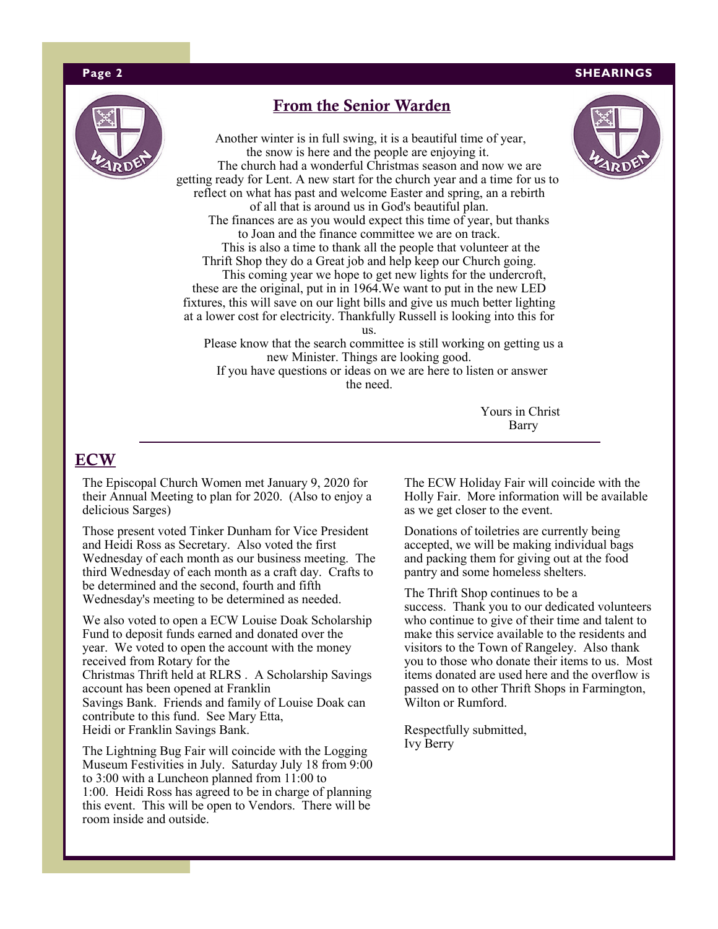#### **Page 2 SHEARINGS**



#### **From the Senior Warden**

Another winter is in full swing, it is a beautiful time of year, the snow is here and the people are enjoying it. The church had a wonderful Christmas season and now we are getting ready for Lent. A new start for the church year and a time for us to reflect on what has past and welcome Easter and spring, an a rebirth of all that is around us in God's beautiful plan. The finances are as you would expect this time of year, but thanks to Joan and the finance committee we are on track. This is also a time to thank all the people that volunteer at the Thrift Shop they do a Great job and help keep our Church going. This coming year we hope to get new lights for the undercroft, these are the original, put in in 1964.We want to put in the new LED fixtures, this will save on our light bills and give us much better lighting at a lower cost for electricity. Thankfully Russell is looking into this for

us.

 Please know that the search committee is still working on getting us a new Minister. Things are looking good. If you have questions or ideas on we are here to listen or answer the need.

> Yours in Christ Barry

#### **ECW**

The Episcopal Church Women met January 9, 2020 for their Annual Meeting to plan for 2020. (Also to enjoy a delicious Sarges)

Those present voted Tinker Dunham for Vice President and Heidi Ross as Secretary. Also voted the first Wednesday of each month as our business meeting. The third Wednesday of each month as a craft day. Crafts to be determined and the second, fourth and fifth Wednesday's meeting to be determined as needed.

We also voted to open a ECW Louise Doak Scholarship Fund to deposit funds earned and donated over the year. We voted to open the account with the money received from Rotary for the Christmas Thrift held at RLRS . A Scholarship Savings account has been opened at Franklin Savings Bank. Friends and family of Louise Doak can contribute to this fund. See Mary Etta, Heidi or Franklin Savings Bank.

The Lightning Bug Fair will coincide with the Logging Museum Festivities in July. Saturday July 18 from 9:00 to 3:00 with a Luncheon planned from 11:00 to 1:00. Heidi Ross has agreed to be in charge of planning this event. This will be open to Vendors. There will be room inside and outside.

The ECW Holiday Fair will coincide with the Holly Fair. More information will be available as we get closer to the event.

Donations of toiletries are currently being accepted, we will be making individual bags and packing them for giving out at the food pantry and some homeless shelters.

The Thrift Shop continues to be a success. Thank you to our dedicated volunteers who continue to give of their time and talent to make this service available to the residents and visitors to the Town of Rangeley. Also thank you to those who donate their items to us. Most items donated are used here and the overflow is passed on to other Thrift Shops in Farmington, Wilton or Rumford.

Respectfully submitted, Ivy Berry

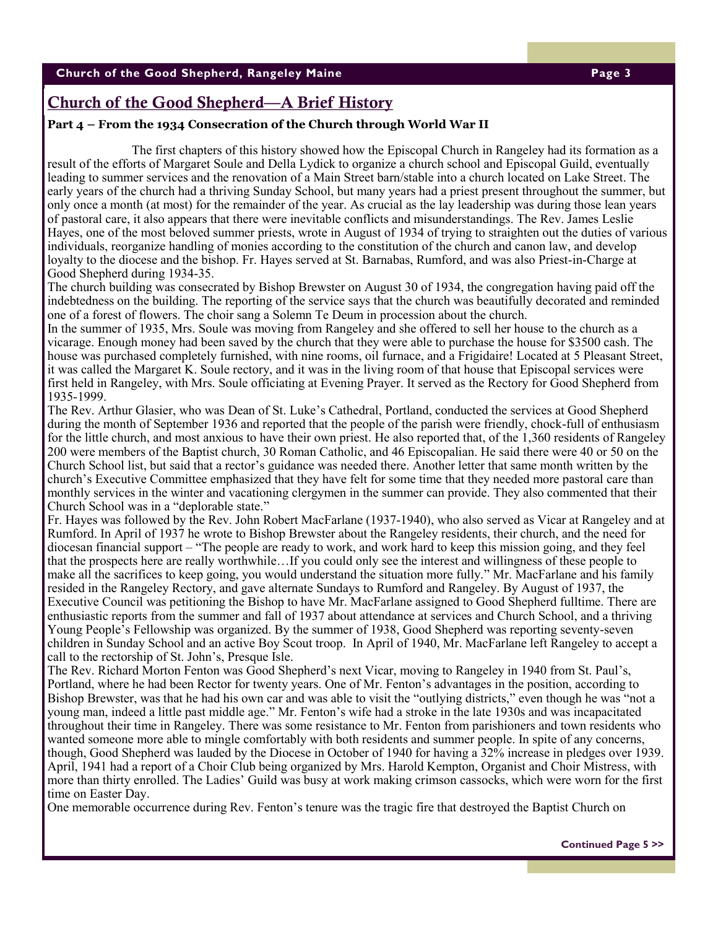### **Church of the Good Shepherd—A Brief History**

#### **Part 4 – From the 1934 Consecration of the Church through World War II**

The first chapters of this history showed how the Episcopal Church in Rangeley had its formation as a result of the efforts of Margaret Soule and Della Lydick to organize a church school and Episcopal Guild, eventually leading to summer services and the renovation of a Main Street barn/stable into a church located on Lake Street. The early years of the church had a thriving Sunday School, but many years had a priest present throughout the summer, but only once a month (at most) for the remainder of the year. As crucial as the lay leadership was during those lean years of pastoral care, it also appears that there were inevitable conflicts and misunderstandings. The Rev. James Leslie Hayes, one of the most beloved summer priests, wrote in August of 1934 of trying to straighten out the duties of various individuals, reorganize handling of monies according to the constitution of the church and canon law, and develop loyalty to the diocese and the bishop. Fr. Hayes served at St. Barnabas, Rumford, and was also Priest-in-Charge at Good Shepherd during 1934-35.

The church building was consecrated by Bishop Brewster on August 30 of 1934, the congregation having paid off the indebtedness on the building. The reporting of the service says that the church was beautifully decorated and reminded one of a forest of flowers. The choir sang a Solemn Te Deum in procession about the church.

In the summer of 1935, Mrs. Soule was moving from Rangeley and she offered to sell her house to the church as a vicarage. Enough money had been saved by the church that they were able to purchase the house for \$3500 cash. The house was purchased completely furnished, with nine rooms, oil furnace, and a Frigidaire! Located at 5 Pleasant Street, it was called the Margaret K. Soule rectory, and it was in the living room of that house that Episcopal services were first held in Rangeley, with Mrs. Soule officiating at Evening Prayer. It served as the Rectory for Good Shepherd from 1935-1999.

The Rev. Arthur Glasier, who was Dean of St. Luke's Cathedral, Portland, conducted the services at Good Shepherd during the month of September 1936 and reported that the people of the parish were friendly, chock-full of enthusiasm for the little church, and most anxious to have their own priest. He also reported that, of the 1,360 residents of Rangeley 200 were members of the Baptist church, 30 Roman Catholic, and 46 Episcopalian. He said there were 40 or 50 on the Church School list, but said that a rector's guidance was needed there. Another letter that same month written by the church's Executive Committee emphasized that they have felt for some time that they needed more pastoral care than monthly services in the winter and vacationing clergymen in the summer can provide. They also commented that their Church School was in a "deplorable state."

Fr. Hayes was followed by the Rev. John Robert MacFarlane (1937-1940), who also served as Vicar at Rangeley and at Rumford. In April of 1937 he wrote to Bishop Brewster about the Rangeley residents, their church, and the need for diocesan financial support – "The people are ready to work, and work hard to keep this mission going, and they feel that the prospects here are really worthwhile…If you could only see the interest and willingness of these people to make all the sacrifices to keep going, you would understand the situation more fully." Mr. MacFarlane and his family resided in the Rangeley Rectory, and gave alternate Sundays to Rumford and Rangeley. By August of 1937, the Executive Council was petitioning the Bishop to have Mr. MacFarlane assigned to Good Shepherd fulltime. There are enthusiastic reports from the summer and fall of 1937 about attendance at services and Church School, and a thriving Young People's Fellowship was organized. By the summer of 1938, Good Shepherd was reporting seventy-seven children in Sunday School and an active Boy Scout troop. In April of 1940, Mr. MacFarlane left Rangeley to accept a call to the rectorship of St. John's, Presque Isle.

The Rev. Richard Morton Fenton was Good Shepherd's next Vicar, moving to Rangeley in 1940 from St. Paul's, Portland, where he had been Rector for twenty years. One of Mr. Fenton's advantages in the position, according to Bishop Brewster, was that he had his own car and was able to visit the "outlying districts," even though he was "not a young man, indeed a little past middle age." Mr. Fenton's wife had a stroke in the late 1930s and was incapacitated throughout their time in Rangeley. There was some resistance to Mr. Fenton from parishioners and town residents who wanted someone more able to mingle comfortably with both residents and summer people. In spite of any concerns, though, Good Shepherd was lauded by the Diocese in October of 1940 for having a 32% increase in pledges over 1939. April, 1941 had a report of a Choir Club being organized by Mrs. Harold Kempton, Organist and Choir Mistress, with more than thirty enrolled. The Ladies' Guild was busy at work making crimson cassocks, which were worn for the first time on Easter Day.

One memorable occurrence during Rev. Fenton's tenure was the tragic fire that destroyed the Baptist Church on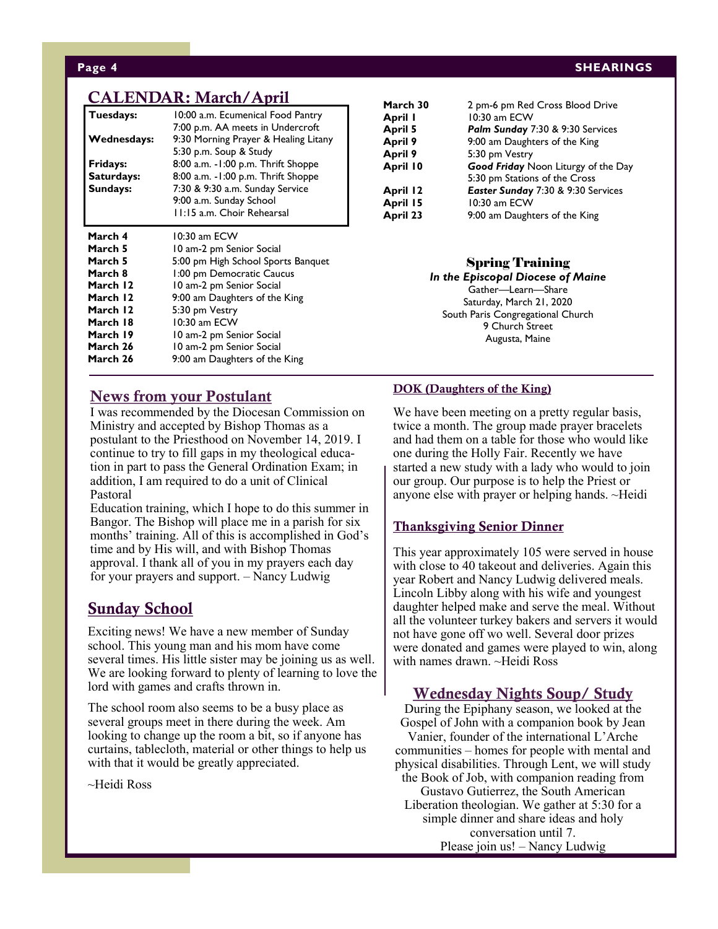#### **CALENDAR: March/April**

| Tuesdays:<br>Wednesdays:<br>Fridays:<br>Saturdays:<br>Sundays: | 10:00 a.m. Ecumenical Food Pantry<br>7:00 p.m. AA meets in Undercroft<br>9:30 Morning Prayer & Healing Litany<br>5:30 p.m. Soup & Study<br>8:00 a.m. -1:00 p.m. Thrift Shoppe<br>8:00 a.m. - 1:00 p.m. Thrift Shoppe<br>7:30 & 9:30 a.m. Sunday Service<br>9:00 a.m. Sunday School<br>11:15 a.m. Choir Rehearsal |
|----------------------------------------------------------------|------------------------------------------------------------------------------------------------------------------------------------------------------------------------------------------------------------------------------------------------------------------------------------------------------------------|
| March 4                                                        | 10:30 am ECW                                                                                                                                                                                                                                                                                                     |
| March 5                                                        | 10 am-2 pm Senior Social                                                                                                                                                                                                                                                                                         |
| March 5                                                        | 5:00 pm High School Sports Banquet                                                                                                                                                                                                                                                                               |
| March 8                                                        | 1:00 pm Democratic Caucus                                                                                                                                                                                                                                                                                        |
| March 12                                                       | 10 am-2 pm Senior Social                                                                                                                                                                                                                                                                                         |
| March 12                                                       | 9:00 am Daughters of the King                                                                                                                                                                                                                                                                                    |
| March 12                                                       | 5:30 pm Vestry                                                                                                                                                                                                                                                                                                   |
| March 18                                                       | $10:30$ am ECW                                                                                                                                                                                                                                                                                                   |
| March 19                                                       | 10 am-2 pm Senior Social                                                                                                                                                                                                                                                                                         |
| March 26                                                       | 10 am-2 pm Senior Social                                                                                                                                                                                                                                                                                         |
| March 26                                                       | 9:00 am Daughters of the King                                                                                                                                                                                                                                                                                    |

## **Page 4 SHEARINGS**

| March 30 | 2 pm-6 pm Red Cross Blood Drive     |
|----------|-------------------------------------|
| April I  | 10:30 am ECW                        |
| April 5  | Palm Sunday 7:30 & 9:30 Services    |
| April 9  | 9:00 am Daughters of the King       |
| April 9  | 5:30 pm Vestry                      |
| April 10 | Good Friday Noon Liturgy of the Day |
|          | 5:30 pm Stations of the Cross       |
| April 12 | Easter Sunday 7:30 & 9:30 Services  |
| April 15 | 10:30 am ECW                        |
| April 23 | 9:00 am Daughters of the King       |
|          |                                     |

#### Spring Training

*In the Episcopal Diocese of Maine* Gather—Learn—Share Saturday, March 21, 2020 South Paris Congregational Church 9 Church Street Augusta, Maine

#### **News from your Postulant**

I was recommended by the Diocesan Commission on Ministry and accepted by Bishop Thomas as a postulant to the Priesthood on November 14, 2019. I continue to try to fill gaps in my theological education in part to pass the General Ordination Exam; in addition, I am required to do a unit of Clinical Pastoral

*Please join us for the annual Stars 'n*  approval. I thank all of you in my prayers each day for your prayers and support. - Nancy Ludwig *July 2, 7 p.m.* Education training, which I hope to do this summer in Bangor. The Bishop will place me in a parish for six months' training. All of this is accomplished in God's time and by His will, and with Bishop Thomas

#### **Sunday School**

Exciting news! We have a new member of Sunday school. This young man and his mom have come several times. His little sister may be joining us as well. We are looking forward to plenty of learning to love the lord with games and crafts thrown in.

The school room also seems to be a busy place as several groups meet in there during the week. Am looking to change up the room a bit, so if anyone has curtains, tablecloth, material or other things to help us with that it would be greatly appreciated.

~Heidi Ross

#### **DOK (Daughters of the King)**

We have been meeting on a pretty regular basis, twice a month. The group made prayer bracelets and had them on a table for those who would like one during the Holly Fair. Recently we have started a new study with a lady who would to join our group. Our purpose is to help the Priest or anyone else with prayer or helping hands. ~Heidi

#### **Thanksgiving Senior Dinner**

This year approximately 105 were served in house with close to 40 takeout and deliveries. Again this year Robert and Nancy Ludwig delivered meals. Lincoln Libby along with his wife and youngest daughter helped make and serve the meal. Without all the volunteer turkey bakers and servers it would not have gone off wo well. Several door prizes were donated and games were played to win, along with names drawn. ~Heidi Ross

#### **Wednesday Nights Soup/ Study**

During the Epiphany season, we looked at the Gospel of John with a companion book by Jean Vanier, founder of the international L'Arche communities – homes for people with mental and physical disabilities. Through Lent, we will study the Book of Job, with companion reading from Gustavo Gutierrez, the South American Liberation theologian. We gather at 5:30 for a simple dinner and share ideas and holy conversation until 7. Please join us! – Nancy Ludwig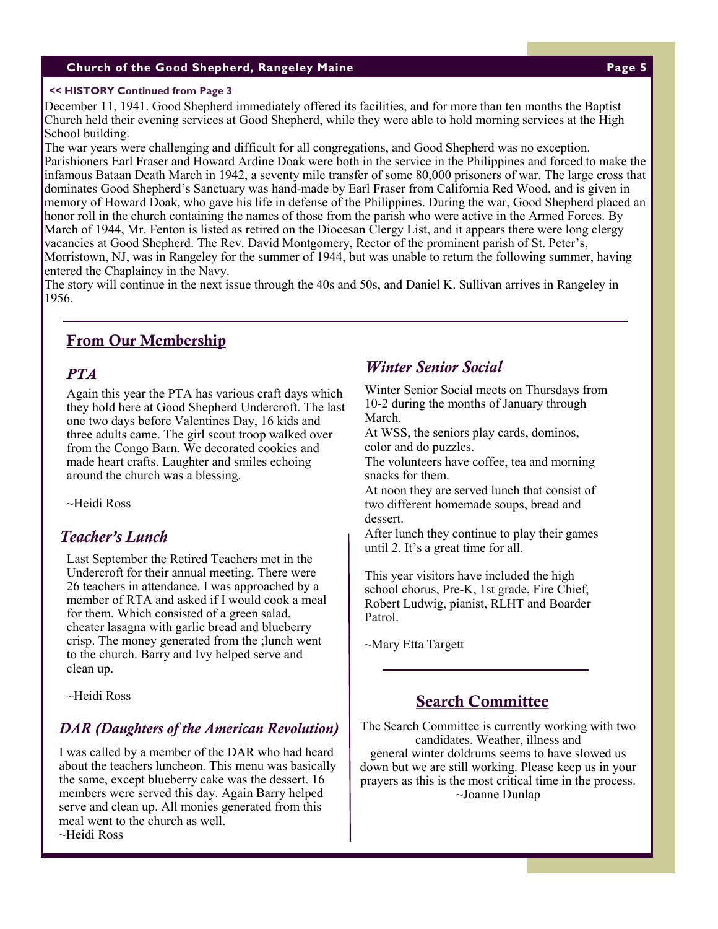#### **Church of the Good Shepherd, Rangeley Maine Page 5**

#### **<< HISTORY Continued from Page 3**

December 11, 1941. Good Shepherd immediately offered its facilities, and for more than ten months the Baptist Church held their evening services at Good Shepherd, while they were able to hold morning services at the High School building.

The war years were challenging and difficult for all congregations, and Good Shepherd was no exception. Parishioners Earl Fraser and Howard Ardine Doak were both in the service in the Philippines and forced to make the infamous Bataan Death March in 1942, a seventy mile transfer of some 80,000 prisoners of war. The large cross that dominates Good Shepherd's Sanctuary was hand-made by Earl Fraser from California Red Wood, and is given in memory of Howard Doak, who gave his life in defense of the Philippines. During the war, Good Shepherd placed an honor roll in the church containing the names of those from the parish who were active in the Armed Forces. By March of 1944, Mr. Fenton is listed as retired on the Diocesan Clergy List, and it appears there were long clergy vacancies at Good Shepherd. The Rev. David Montgomery, Rector of the prominent parish of St. Peter's, Morristown, NJ, was in Rangeley for the summer of 1944, but was unable to return the following summer, having entered the Chaplaincy in the Navy.

The story will continue in the next issue through the 40s and 50s, and Daniel K. Sullivan arrives in Rangeley in 1956.

#### **From Our Membership**

#### *PTA*

Again this year the PTA has various craft days which they hold here at Good Shepherd Undercroft. The last one two days before Valentines Day, 16 kids and three adults came. The girl scout troop walked over from the Congo Barn. We decorated cookies and made heart crafts. Laughter and smiles echoing around the church was a blessing.

~Heidi Ross

#### *Teacher's Lunch*

Last September the Retired Teachers met in the Undercroft for their annual meeting. There were 26 teachers in attendance. I was approached by a member of RTA and asked if I would cook a meal for them. Which consisted of a green salad, cheater lasagna with garlic bread and blueberry crisp. The money generated from the ;lunch went to the church. Barry and Ivy helped serve and clean up.

~Heidi Ross

#### *DAR (Daughters of the American Revolution)*

I was called by a member of the DAR who had heard about the teachers luncheon. This menu was basically the same, except blueberry cake was the dessert. 16 members were served this day. Again Barry helped serve and clean up. All monies generated from this meal went to the church as well.

~Heidi Ross

#### *Winter Senior Social*

Winter Senior Social meets on Thursdays from 10-2 during the months of January through March.

At WSS, the seniors play cards, dominos, color and do puzzles.

The volunteers have coffee, tea and morning snacks for them.

At noon they are served lunch that consist of two different homemade soups, bread and dessert.

After lunch they continue to play their games until 2. It's a great time for all.

This year visitors have included the high school chorus, Pre-K, 1st grade, Fire Chief, Robert Ludwig, pianist, RLHT and Boarder Patrol.

~Mary Etta Targett

#### **Search Committee**

The Search Committee is currently working with two candidates. Weather, illness and general winter doldrums seems to have slowed us down but we are still working. Please keep us in your prayers as this is the most critical time in the process. ~Joanne Dunlap